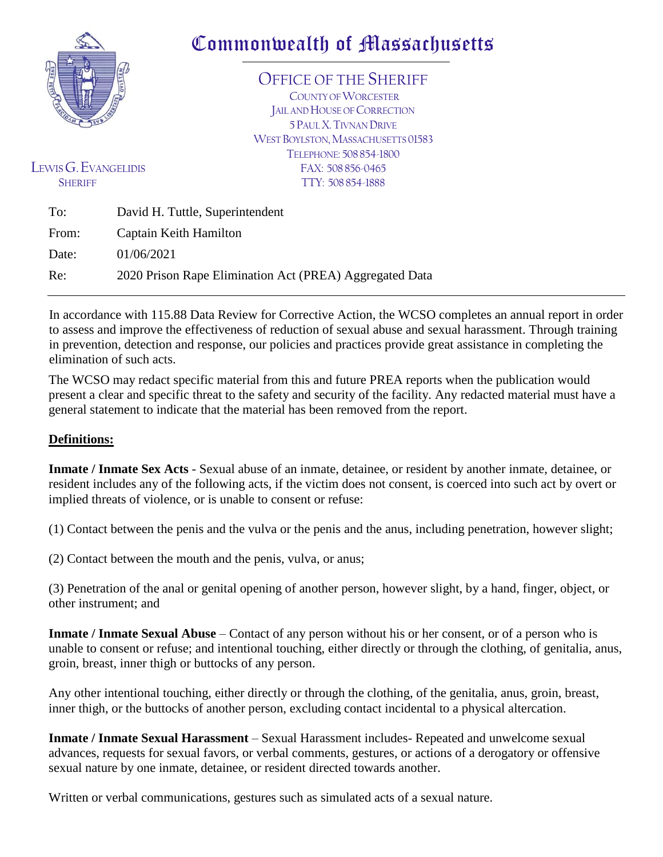

# Commonwealth of Massachusetts

### OFFICE OF THE SHERIFF

COUNTY OF WORCESTER JAIL AND HOUSE OF CORRECTION 5PAUL X.TIVNAN DRIVE WEST BOYLSTON, MASSACHUSETTS 01583 TELEPHONE: 508854-1800 EAX: 508 856-0465 SHERIFF TTY: 508 854-1888

| Lewis G. Evangelidis |  |
|----------------------|--|
| <b>SHERIFF</b>       |  |

| To:   | David H. Tuttle, Superintendent                         |
|-------|---------------------------------------------------------|
| From: | Captain Keith Hamilton                                  |
| Date: | 01/06/2021                                              |
| Re:   | 2020 Prison Rape Elimination Act (PREA) Aggregated Data |

In accordance with 115.88 Data Review for Corrective Action, the WCSO completes an annual report in order to assess and improve the effectiveness of reduction of sexual abuse and sexual harassment. Through training in prevention, detection and response, our policies and practices provide great assistance in completing the elimination of such acts.

The WCSO may redact specific material from this and future PREA reports when the publication would present a clear and specific threat to the safety and security of the facility. Any redacted material must have a general statement to indicate that the material has been removed from the report.

#### **Definitions:**

**Inmate / Inmate Sex Acts** - Sexual abuse of an inmate, detainee, or resident by another inmate, detainee, or resident includes any of the following acts, if the victim does not consent, is coerced into such act by overt or implied threats of violence, or is unable to consent or refuse:

(1) Contact between the penis and the vulva or the penis and the anus, including penetration, however slight;

(2) Contact between the mouth and the penis, vulva, or anus;

(3) Penetration of the anal or genital opening of another person, however slight, by a hand, finger, object, or other instrument; and

**Inmate / Inmate Sexual Abuse** – Contact of any person without his or her consent, or of a person who is unable to consent or refuse; and intentional touching, either directly or through the clothing, of genitalia, anus, groin, breast, inner thigh or buttocks of any person.

Any other intentional touching, either directly or through the clothing, of the genitalia, anus, groin, breast, inner thigh, or the buttocks of another person, excluding contact incidental to a physical altercation.

**Inmate / Inmate Sexual Harassment** – Sexual Harassment includes- Repeated and unwelcome sexual advances, requests for sexual favors, or verbal comments, gestures, or actions of a derogatory or offensive sexual nature by one inmate, detainee, or resident directed towards another.

Written or verbal communications, gestures such as simulated acts of a sexual nature.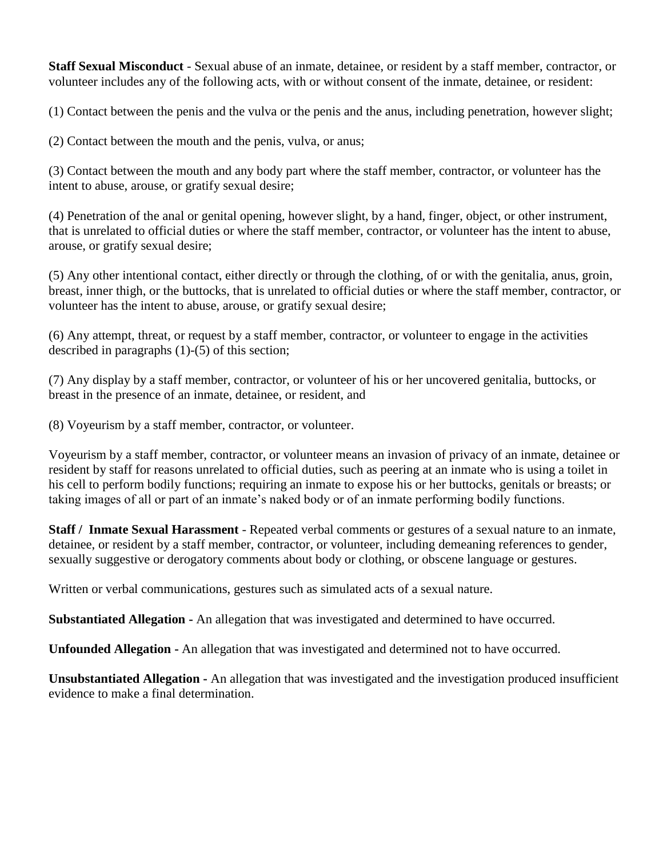**Staff Sexual Misconduct** - Sexual abuse of an inmate, detainee, or resident by a staff member, contractor, or volunteer includes any of the following acts, with or without consent of the inmate, detainee, or resident:

(1) Contact between the penis and the vulva or the penis and the anus, including penetration, however slight;

(2) Contact between the mouth and the penis, vulva, or anus;

(3) Contact between the mouth and any body part where the staff member, contractor, or volunteer has the intent to abuse, arouse, or gratify sexual desire;

(4) Penetration of the anal or genital opening, however slight, by a hand, finger, object, or other instrument, that is unrelated to official duties or where the staff member, contractor, or volunteer has the intent to abuse, arouse, or gratify sexual desire;

(5) Any other intentional contact, either directly or through the clothing, of or with the genitalia, anus, groin, breast, inner thigh, or the buttocks, that is unrelated to official duties or where the staff member, contractor, or volunteer has the intent to abuse, arouse, or gratify sexual desire;

(6) Any attempt, threat, or request by a staff member, contractor, or volunteer to engage in the activities described in paragraphs (1)-(5) of this section;

(7) Any display by a staff member, contractor, or volunteer of his or her uncovered genitalia, buttocks, or breast in the presence of an inmate, detainee, or resident, and

(8) Voyeurism by a staff member, contractor, or volunteer.

Voyeurism by a staff member, contractor, or volunteer means an invasion of privacy of an inmate, detainee or resident by staff for reasons unrelated to official duties, such as peering at an inmate who is using a toilet in his cell to perform bodily functions; requiring an inmate to expose his or her buttocks, genitals or breasts; or taking images of all or part of an inmate's naked body or of an inmate performing bodily functions.

**Staff / Inmate Sexual Harassment** - Repeated verbal comments or gestures of a sexual nature to an inmate, detainee, or resident by a staff member, contractor, or volunteer, including demeaning references to gender, sexually suggestive or derogatory comments about body or clothing, or obscene language or gestures.

Written or verbal communications, gestures such as simulated acts of a sexual nature.

**Substantiated Allegation -** An allegation that was investigated and determined to have occurred.

**Unfounded Allegation -** An allegation that was investigated and determined not to have occurred.

**Unsubstantiated Allegation -** An allegation that was investigated and the investigation produced insufficient evidence to make a final determination.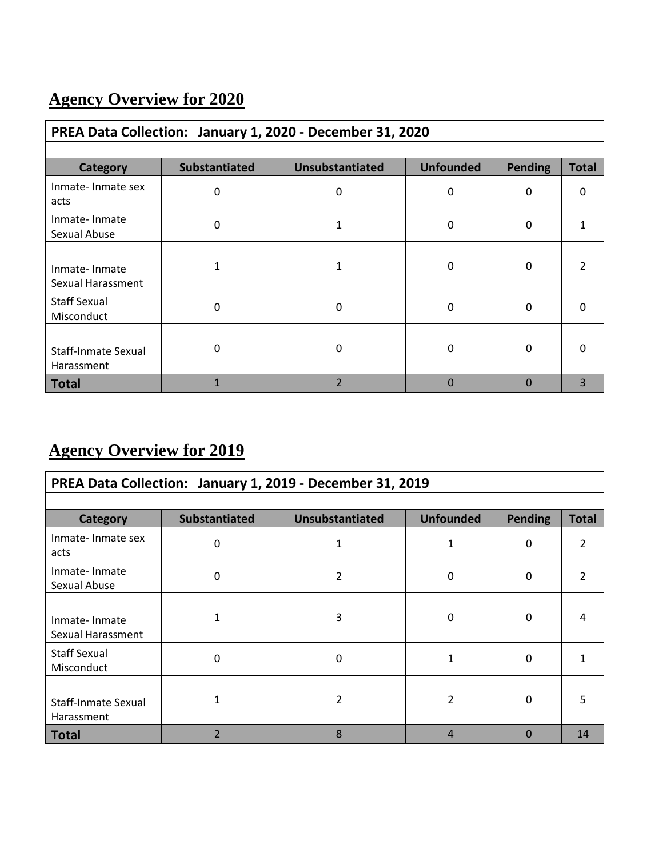## **Agency Overview for 2020**

| PREA Data Collection: January 1, 2020 - December 31, 2020 |               |                          |                  |                |              |  |  |  |  |
|-----------------------------------------------------------|---------------|--------------------------|------------------|----------------|--------------|--|--|--|--|
|                                                           |               |                          |                  |                |              |  |  |  |  |
| <b>Category</b>                                           | Substantiated | <b>Unsubstantiated</b>   | <b>Unfounded</b> | <b>Pending</b> | <b>Total</b> |  |  |  |  |
| Inmate-Inmate sex<br>acts                                 | 0             | 0                        | 0                | 0              |              |  |  |  |  |
| Inmate-Inmate<br>Sexual Abuse                             | 0             | $\mathbf{1}$             | 0                | 0              |              |  |  |  |  |
| Inmate-Inmate<br>Sexual Harassment                        |               | 1                        | 0                | 0              |              |  |  |  |  |
| <b>Staff Sexual</b><br>Misconduct                         | 0             | 0                        | 0                | 0              |              |  |  |  |  |
| Staff-Inmate Sexual<br>Harassment                         | 0             | 0                        | 0                | 0              |              |  |  |  |  |
| <b>Total</b>                                              |               | $\overline{\mathcal{L}}$ | 0                | $\Omega$       | 3            |  |  |  |  |

### **Agency Overview for 2019**

| PREA Data Collection: January 1, 2019 - December 31, 2019 |                          |                        |                  |                |                |  |  |  |
|-----------------------------------------------------------|--------------------------|------------------------|------------------|----------------|----------------|--|--|--|
|                                                           |                          |                        |                  |                |                |  |  |  |
| <b>Category</b>                                           | <b>Substantiated</b>     | <b>Unsubstantiated</b> | <b>Unfounded</b> | <b>Pending</b> | <b>Total</b>   |  |  |  |
| Inmate-Inmate sex<br>acts                                 | 0                        | 1                      | 1                | 0              | $\mathfrak{p}$ |  |  |  |
| Inmate-Inmate<br>Sexual Abuse                             | $\Omega$                 | 2                      | 0                | 0              | $\mathcal{P}$  |  |  |  |
| Inmate-Inmate<br>Sexual Harassment                        | 1                        | 3                      | 0                | 0              | 4              |  |  |  |
| <b>Staff Sexual</b><br>Misconduct                         | $\Omega$                 | 0                      | 1                | 0              |                |  |  |  |
| Staff-Inmate Sexual<br>Harassment                         | 1                        | 2                      | 2                | 0              |                |  |  |  |
| Total                                                     | $\overline{\mathcal{L}}$ | 8                      | 4                | $\Omega$       | 14             |  |  |  |